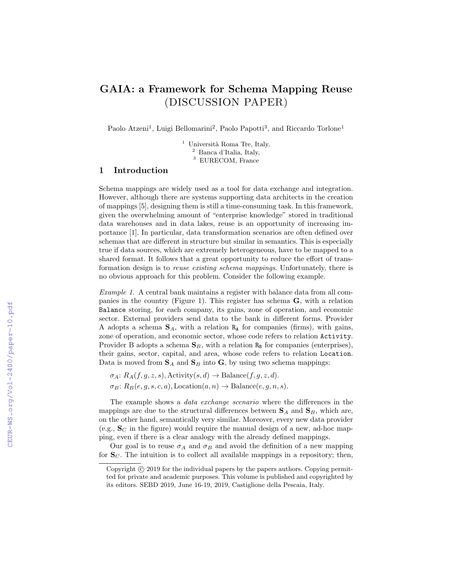# GAIA: a Framework for Schema Mapping Reuse (DISCUSSION PAPER)

Paolo Atzeni<sup>1</sup>, Luigi Bellomarini<sup>2</sup>, Paolo Papotti<sup>3</sup>, and Riccardo Torlone<sup>1</sup>

<sup>1</sup> Università Roma Tre, Italy, <sup>2</sup> Banca d'Italia, Italy, <sup>3</sup> EURECOM, France

#### 1 Introduction

Schema mappings are widely used as a tool for data exchange and integration. However, although there are systems supporting data architects in the creation of mappings [5], designing them is still a time-consuming task. In this framework, given the overwhelming amount of "enterprise knowledge" stored in traditional data warehouses and in data lakes, reuse is an opportunity of increasing importance [1]. In particular, data transformation scenarios are often defined over schemas that are different in structure but similar in semantics. This is especially true if data sources, which are extremely heterogeneous, have to be mapped to a shared format. It follows that a great opportunity to reduce the effort of transformation design is to reuse existing schema mappings. Unfortunately, there is no obvious approach for this problem. Consider the following example.

Example 1. A central bank maintains a register with balance data from all companies in the country (Figure 1). This register has schema G, with a relation Balance storing, for each company, its gains, zone of operation, and economic sector. External providers send data to the bank in different forms. Provider A adopts a schema  $S_A$ , with a relation  $R_A$  for companies (firms), with gains, zone of operation, and economic sector, whose code refers to relation Activity. Provider B adopts a schema  $S_B$ , with a relation  $R_B$  for companies (enterprises), their gains, sector, capital, and area, whose code refers to relation Location. Data is moved from  $S_A$  and  $S_B$  into  $G$ , by using two schema mappings:

 $\sigma_A: R_A(f, g, z, s)$ , Activity $(s, d) \rightarrow \text{Balance}(f, g, z, d)$ .  $\sigma_B: R_B(e, q, s, c, a),$  Location $(a, n) \rightarrow$  Balance $(e, q, n, s)$ .

The example shows a data exchange scenario where the differences in the mappings are due to the structural differences between  $S_A$  and  $S_B$ , which are, on the other hand, semantically very similar. Moreover, every new data provider (e.g.,  $S_C$  in the figure) would require the manual design of a new, ad-hoc mapping, even if there is a clear analogy with the already defined mappings.

Our goal is to reuse  $\sigma_A$  and  $\sigma_B$  and avoid the definition of a new mapping for  $S_C$ . The intuition is to collect all available mappings in a repository; then,

Copyright  $\odot$  2019 for the individual papers by the papers authors. Copying permitted for private and academic purposes. This volume is published and copyrighted by its editors. SEBD 2019, June 16-19, 2019, Castiglione della Pescaia, Italy.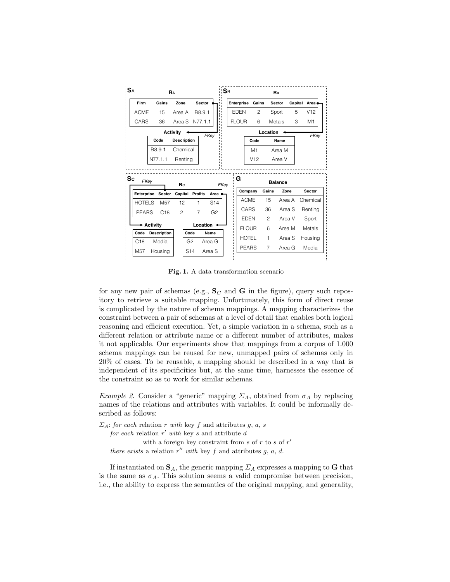| <b>SA</b><br>RA     |                    |                                   |                |                  |      | :Sb<br>RB |              |               |               |                |   |              |
|---------------------|--------------------|-----------------------------------|----------------|------------------|------|-----------|--------------|---------------|---------------|----------------|---|--------------|
| Firm                | Gains              | Zone                              | Sector         |                  |      |           | Enterprise   | Gains         |               | Sector         |   | Capital Area |
| <b>ACME</b>         | 15                 | Area A                            | B8.9.1         |                  |      |           | <b>EDEN</b>  | $\mathcal{P}$ |               | Sport          | 5 | V12          |
| CARS                | 36                 | Area S N77.1.1                    |                |                  |      |           | <b>FLOUR</b> | 6             |               | Metals         | 3 | M1           |
|                     |                    | Activity                          |                | FKey             |      |           |              |               | Location      |                |   | FKey         |
|                     | Code               | <b>Description</b>                |                |                  |      |           |              | Code          |               | Name           |   |              |
|                     | B8.9.1             | Chemical                          |                |                  |      |           |              | M1            |               | Area M         |   |              |
|                     |                    |                                   |                |                  |      |           |              |               |               |                |   |              |
|                     | N77.1.1            | Renting                           |                |                  |      |           | G            | V12           |               | Area V         |   |              |
|                     | FKey               | Rc                                |                |                  | FKey |           |              |               |               | <b>Balance</b> |   |              |
| Enterprise          | Sector             | Capital                           | Profits        | Area             |      |           |              | Company       | Gains         | Zone           |   | Sector       |
| Sc<br><b>HOTELS</b> | M <sub>57</sub>    | 12                                | 1              | S <sub>14</sub>  |      |           |              | <b>ACME</b>   | 15            | Area A         |   | Chemical     |
| <b>PEARS</b>        | C18                | $\mathcal{P}$                     | $\overline{7}$ | G <sub>2</sub>   |      |           |              | CARS          | 36            | Area S         |   | Rentina      |
|                     |                    |                                   |                |                  |      |           |              | <b>EDEN</b>   | $\mathcal{P}$ | Area V         |   | Sport        |
|                     | <b>→ Activity</b>  |                                   |                | Location <       |      |           |              | <b>FLOUR</b>  | 6             | Area M         |   | Metals       |
| Code                | <b>Description</b> | Code                              |                | Name             |      |           |              | <b>HOTEL</b>  | 1             | Area S         |   | Housing      |
| C18<br>M57          | Media<br>Housing   | G <sub>2</sub><br>S <sub>14</sub> |                | Area G<br>Area S |      |           |              | <b>PEARS</b>  | 7             | Area G         |   | Media        |

Fig. 1. A data transformation scenario

for any new pair of schemas (e.g.,  $S_C$  and G in the figure), query such repository to retrieve a suitable mapping. Unfortunately, this form of direct reuse is complicated by the nature of schema mappings. A mapping characterizes the constraint between a pair of schemas at a level of detail that enables both logical reasoning and efficient execution. Yet, a simple variation in a schema, such as a different relation or attribute name or a different number of attributes, makes it not applicable. Our experiments show that mappings from a corpus of 1.000 schema mappings can be reused for new, unmapped pairs of schemas only in 20% of cases. To be reusable, a mapping should be described in a way that is independent of its specificities but, at the same time, harnesses the essence of the constraint so as to work for similar schemas.

Example 2. Consider a "generic" mapping  $\Sigma_A$ , obtained from  $\sigma_A$  by replacing names of the relations and attributes with variables. It could be informally described as follows:

 $\Sigma_A$ : for each relation r with key f and attributes g, a, s for each relation  $r'$  with key s and attribute d with a foreign key constraint from  $s$  of  $r$  to  $s$  of  $r'$ there exists a relation r'' with key f and attributes  $g, a, d$ .

If instantiated on  $S_A$ , the generic mapping  $\Sigma_A$  expresses a mapping to G that is the same as  $\sigma_A$ . This solution seems a valid compromise between precision, i.e., the ability to express the semantics of the original mapping, and generality,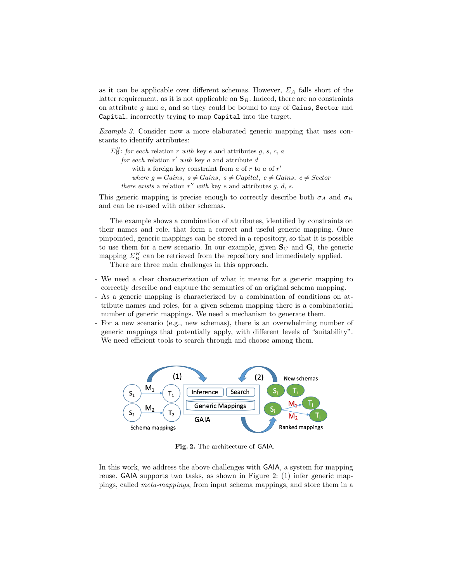as it can be applicable over different schemas. However,  $\Sigma_A$  falls short of the latter requirement, as it is not applicable on  $S_B$ . Indeed, there are no constraints on attribute  $g$  and  $a$ , and so they could be bound to any of Gains, Sector and Capital, incorrectly trying to map Capital into the target.

Example 3. Consider now a more elaborated generic mapping that uses constants to identify attributes:

```
\Sigma_B^H: for each relation r with key e and attributes g, s, c, a
for each relation r' with key a and attribute d
    with a foreign key constraint from a of r to a of r'where g = Gains, s \neq Gains, s \neq Capital, c \neq Gains, c \neq Sectorthere exists a relation r'' with key e and attributes g, d, s.
```
This generic mapping is precise enough to correctly describe both  $\sigma_A$  and  $\sigma_B$ and can be re-used with other schemas.

The example shows a combination of attributes, identified by constraints on their names and role, that form a correct and useful generic mapping. Once pinpointed, generic mappings can be stored in a repository, so that it is possible to use them for a new scenario. In our example, given  $S_C$  and  $G$ , the generic mapping  $\Sigma_B^H$  can be retrieved from the repository and immediately applied.

There are three main challenges in this approach.

- We need a clear characterization of what it means for a generic mapping to correctly describe and capture the semantics of an original schema mapping.
- As a generic mapping is characterized by a combination of conditions on attribute names and roles, for a given schema mapping there is a combinatorial number of generic mappings. We need a mechanism to generate them.
- For a new scenario (e.g., new schemas), there is an overwhelming number of generic mappings that potentially apply, with different levels of "suitability". We need efficient tools to search through and choose among them.



Fig. 2. The architecture of GAIA.

In this work, we address the above challenges with GAIA, a system for mapping reuse. GAIA supports two tasks, as shown in Figure 2: (1) infer generic mappings, called meta-mappings, from input schema mappings, and store them in a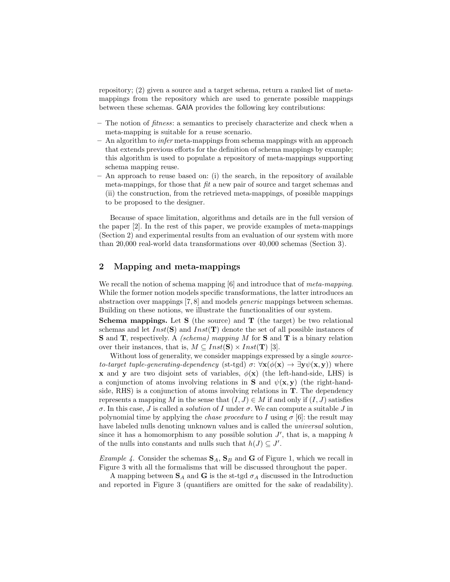repository; (2) given a source and a target schema, return a ranked list of metamappings from the repository which are used to generate possible mappings between these schemas. GAIA provides the following key contributions:

- The notion of fitness: a semantics to precisely characterize and check when a meta-mapping is suitable for a reuse scenario.
- $-$  An algorithm to *infer* meta-mappings from schema mappings with an approach that extends previous efforts for the definition of schema mappings by example; this algorithm is used to populate a repository of meta-mappings supporting schema mapping reuse.
- An approach to reuse based on: (i) the search, in the repository of available meta-mappings, for those that  $\hat{h}t$  a new pair of source and target schemas and (ii) the construction, from the retrieved meta-mappings, of possible mappings to be proposed to the designer.

Because of space limitation, algorithms and details are in the full version of the paper [2]. In the rest of this paper, we provide examples of meta-mappings (Section 2) and experimental results from an evaluation of our system with more than 20,000 real-world data transformations over 40,000 schemas (Section 3).

## 2 Mapping and meta-mappings

We recall the notion of schema mapping [6] and introduce that of *meta-mapping*. While the former notion models specific transformations, the latter introduces an abstraction over mappings [7, 8] and models generic mappings between schemas. Building on these notions, we illustrate the functionalities of our system.

**Schema mappings.** Let  $S$  (the source) and  $T$  (the target) be two relational schemas and let  $Inst(S)$  and  $Inst(T)$  denote the set of all possible instances of S and T, respectively. A *(schema) mapping M* for S and T is a binary relation over their instances, that is,  $M \subseteq Inst(S) \times Inst(T)$  [3].

Without loss of generality, we consider mappings expressed by a single *source*to-target tuple-generating-dependency (st-tgd)  $\sigma: \forall \mathbf{x}(\phi(\mathbf{x}) \to \exists \mathbf{y} \psi(\mathbf{x}, \mathbf{y}))$  where **x** and **y** are two disjoint sets of variables,  $\phi(\mathbf{x})$  (the left-hand-side, LHS) is a conjunction of atoms involving relations in **S** and  $\psi(\mathbf{x}, \mathbf{y})$  (the right-handside, RHS) is a conjunction of atoms involving relations in T. The dependency represents a mapping M in the sense that  $(I, J) \in M$  if and only if  $(I, J)$  satisfies σ. In this case, J is called a solution of I under σ. We can compute a suitable J in polynomial time by applying the *chase procedure* to I using  $\sigma$  [6]: the result may have labeled nulls denoting unknown values and is called the *universal* solution, since it has a homomorphism to any possible solution  $J'$ , that is, a mapping h of the nulls into constants and nulls such that  $h(J) \subseteq J'$ .

*Example 4.* Consider the schemas  $S_A$ ,  $S_B$  and **G** of Figure 1, which we recall in Figure 3 with all the formalisms that will be discussed throughout the paper.

A mapping between  $\mathbf{S}_A$  and  $\mathbf{G}$  is the st-tgd  $\sigma_A$  discussed in the Introduction and reported in Figure 3 (quantifiers are omitted for the sake of readability).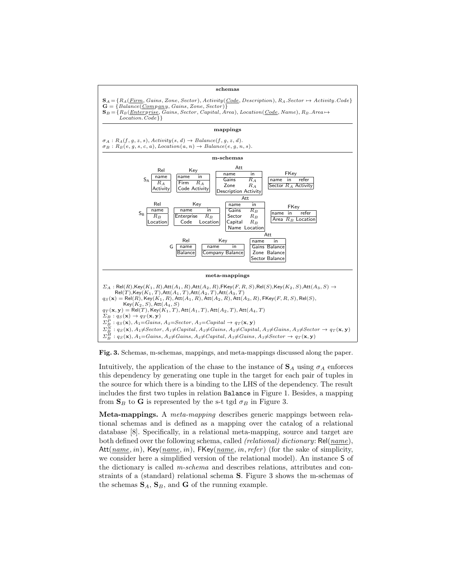



Intuitively, the application of the chase to the instance of  $S_A$  using  $\sigma_A$  enforces this dependency by generating one tuple in the target for each pair of tuples in the source for which there is a binding to the LHS of the dependency. The result includes the first two tuples in relation Balance in Figure 1. Besides, a mapping from  $\mathbf{S}_B$  to  $\mathbf{G}$  is represented by the s-t tgd  $\sigma_B$  in Figure 3.

Meta-mappings. A meta-mapping describes generic mappings between relational schemas and is defined as a mapping over the catalog of a relational database [8]. Specifically, in a relational meta-mapping, source and target are both defined over the following schema, called *(relational) dictionary*:  $Rel(name),$ Att $(name, in)$ , Key $(name, in)$ , FKey $(name, in, refer)$  (for the sake of simplicity, we consider here a simplified version of the relational model). An instance S of the dictionary is called m-schema and describes relations, attributes and constraints of a (standard) relational schema S. Figure 3 shows the m-schemas of the schemas  $S_A$ ,  $S_B$ , and **G** of the running example.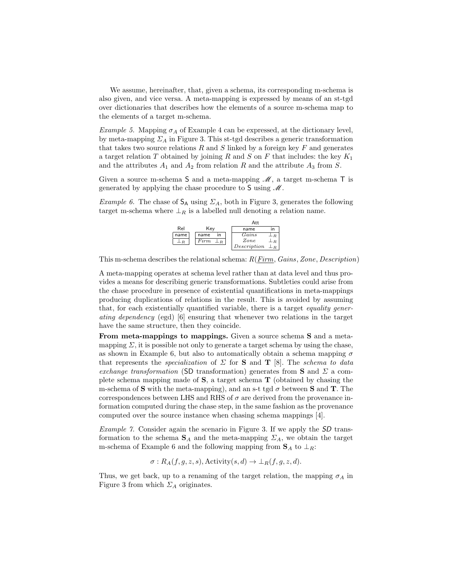We assume, hereinafter, that, given a schema, its corresponding m-schema is also given, and vice versa. A meta-mapping is expressed by means of an st-tgd over dictionaries that describes how the elements of a source m-schema map to the elements of a target m-schema.

Example 5. Mapping  $\sigma_A$  of Example 4 can be expressed, at the dictionary level, by meta-mapping  $\Sigma_A$  in Figure 3. This st-tgd describes a generic transformation that takes two source relations  $R$  and  $S$  linked by a foreign key  $F$  and generates a target relation T obtained by joining R and S on F that includes: the key  $K_1$ and the attributes  $A_1$  and  $A_2$  from relation R and the attribute  $A_3$  from S.

Given a source m-schema  $S$  and a meta-mapping  $\mathcal{M}$ , a target m-schema  $T$  is generated by applying the chase procedure to  $S$  using  $\mathcal M$ .

Example 6. The chase of  $S_A$  using  $\Sigma_A$ , both in Figure 3, generates the following target m-schema where  $\perp_R$  is a labelled null denoting a relation name.



This m-schema describes the relational schema: R(Firm, Gains, Zone, Description)

A meta-mapping operates at schema level rather than at data level and thus provides a means for describing generic transformations. Subtleties could arise from the chase procedure in presence of existential quantifications in meta-mappings producing duplications of relations in the result. This is avoided by assuming that, for each existentially quantified variable, there is a target equality generating dependency (egd) [6] ensuring that whenever two relations in the target have the same structure, then they coincide.

From meta-mappings to mappings. Given a source schema S and a metamapping  $\Sigma$ , it is possible not only to generate a target schema by using the chase, as shown in Example 6, but also to automatically obtain a schema mapping  $\sigma$ that represents the *specialization* of  $\Sigma$  for **S** and **T** [8]. The *schema to data* exchange transformation (SD transformation) generates from S and  $\Sigma$  a complete schema mapping made of  $S$ , a target schema  $T$  (obtained by chasing the m-schema of S with the meta-mapping), and an s-t tgd  $\sigma$  between S and T. The correspondences between LHS and RHS of  $\sigma$  are derived from the provenance information computed during the chase step, in the same fashion as the provenance computed over the source instance when chasing schema mappings [4].

Example 7. Consider again the scenario in Figure 3. If we apply the SD transformation to the schema  $S_A$  and the meta-mapping  $\Sigma_A$ , we obtain the target m-schema of Example 6 and the following mapping from  $S_A$  to  $\perp_R$ :

$$
\sigma: R_A(f, g, z, s), \text{Activity}(s, d) \to \bot_R(f, g, z, d).
$$

Thus, we get back, up to a renaming of the target relation, the mapping  $\sigma_A$  in Figure 3 from which  $\Sigma_A$  originates.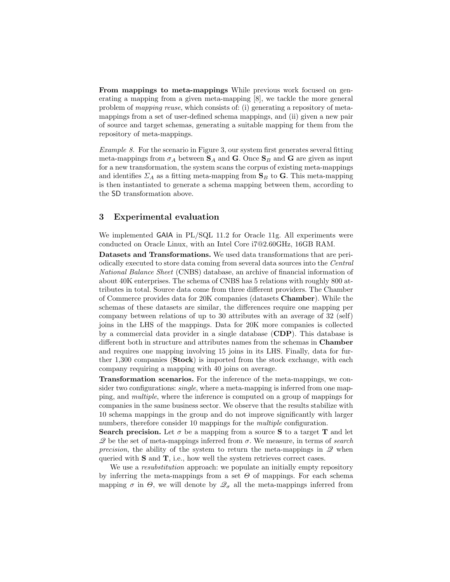From mappings to meta-mappings While previous work focused on generating a mapping from a given meta-mapping [8], we tackle the more general problem of mapping reuse, which consists of: (i) generating a repository of metamappings from a set of user-defined schema mappings, and (ii) given a new pair of source and target schemas, generating a suitable mapping for them from the repository of meta-mappings.

Example 8. For the scenario in Figure 3, our system first generates several fitting meta-mappings from  $\sigma_A$  between  $S_A$  and G. Once  $S_B$  and G are given as input for a new transformation, the system scans the corpus of existing meta-mappings and identifies  $\Sigma_A$  as a fitting meta-mapping from  $\mathbf{S}_B$  to G. This meta-mapping is then instantiated to generate a schema mapping between them, according to the SD transformation above.

### 3 Experimental evaluation

We implemented GAIA in PL/SQL 11.2 for Oracle 11g. All experiments were conducted on Oracle Linux, with an Intel Core i7@2.60GHz, 16GB RAM.

Datasets and Transformations. We used data transformations that are periodically executed to store data coming from several data sources into the Central National Balance Sheet (CNBS) database, an archive of financial information of about 40K enterprises. The schema of CNBS has 5 relations with roughly 800 attributes in total. Source data come from three different providers. The Chamber of Commerce provides data for 20K companies (datasets Chamber). While the schemas of these datasets are similar, the differences require one mapping per company between relations of up to 30 attributes with an average of 32 (self) joins in the LHS of the mappings. Data for 20K more companies is collected by a commercial data provider in a single database (CDP). This database is different both in structure and attributes names from the schemas in Chamber and requires one mapping involving 15 joins in its LHS. Finally, data for further 1,300 companies (Stock) is imported from the stock exchange, with each company requiring a mapping with 40 joins on average.

Transformation scenarios. For the inference of the meta-mappings, we consider two configurations: *single*, where a meta-mapping is inferred from one mapping, and multiple, where the inference is computed on a group of mappings for companies in the same business sector. We observe that the results stabilize with 10 schema mappings in the group and do not improve significantly with larger numbers, therefore consider 10 mappings for the *multiple* configuration.

Search precision. Let  $\sigma$  be a mapping from a source S to a target T and let  $\mathscr Q$  be the set of meta-mappings inferred from  $\sigma$ . We measure, in terms of search precision, the ability of the system to return the meta-mappings in  $\mathscr Q$  when queried with **S** and **T**, i.e., how well the system retrieves correct cases.

We use a resubstitution approach: we populate an initially empty repository by inferring the meta-mappings from a set  $\Theta$  of mappings. For each schema mapping  $\sigma$  in  $\Theta$ , we will denote by  $\mathcal{Q}_{\sigma}$  all the meta-mappings inferred from